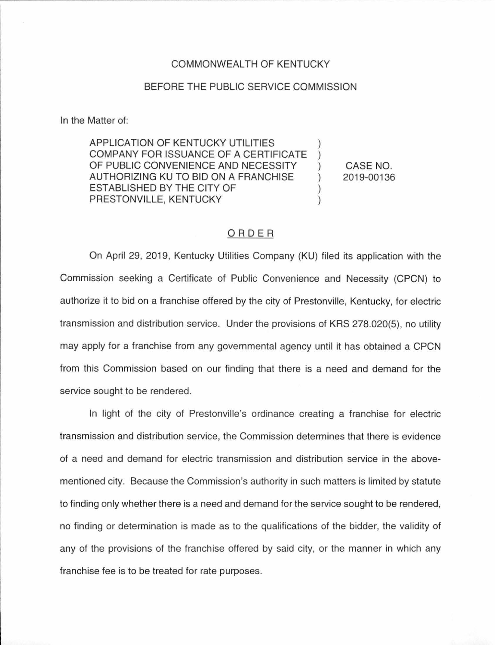## COMMONWEAL TH OF KENTUCKY

## BEFORE THE PUBLIC SERVICE COMMISSION

In the Matter of:

APPLICATION OF KENTUCKY UTILITIES COMPANY FOR ISSUANCE OF A CERTIFICATE OF PUBLIC CONVENIENCE AND NECESSITY AUTHORIZING KU TO BID ON A FRANCHISE ) ESTABLISHED BY THE CITY OF ) PRESTONVILLE, KENTUCKY

CASE NO. 2019-00136

## ORDER

On April 29, 2019, Kentucky Utilities Company (KU) filed its application with the Commission seeking a Certificate of Public Convenience and Necessity (CPCN) to authorize it to bid on a franchise offered by the city of Prestonville, Kentucky, for electric transmission and distribution service. Under the provisions of KRS 278.020(5), no utility may apply for a franchise from any governmental agency until it has obtained a CPCN from this Commission based on our finding that there is a need and demand for the service sought to be rendered.

In light of the city of Prestonville's ordinance creating a franchise for electric transmission and distribution service, the Commission determines that there is evidence of a need and demand for electric transmission and distribution service in the abovementioned city. Because the Commission's authority in such matters is limited by statute to finding only whether there is a need and demand for the service sought to be rendered, no finding or determination is made as to the qualifications of the bidder, the validity of any of the provisions of the franchise offered by said city, or the manner in which any franchise fee is to be treated for rate purposes.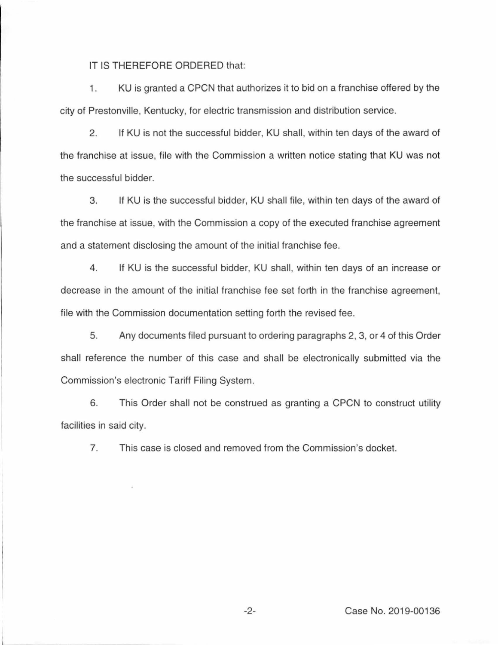IT IS THEREFORE ORDERED that:

1. KU is granted a CPCN that authorizes it to bid on a franchise offered by the city of Prestonville, Kentucky, for electric transmission and distribution service.

2. If KU is not the successful bidder, KU shall, within ten days of the award of the franchise at issue, file with the Commission a written notice stating that KU was not the successful bidder.

3. If KU is the successful bidder, KU shall file, within ten days of the award of the franchise at issue, with the Commission a copy of the executed franchise agreement and a statement disclosing the amount of the initial franchise fee.

4. If KU is the successful bidder, KU shall, within ten days of an increase or decrease in the amount of the initial franchise fee set forth in the franchise agreement, file with the Commission documentation setting forth the revised fee.

5. Any documents filed pursuant to ordering paragraphs 2, 3, or 4 of this Order shall reference the number of this case and shall be electronically submitted via the Commission's electronic Tariff Filing System.

6. This Order shall not be construed as granting a CPCN to construct utility facilities in said city.

7. This case is closed and removed from the Commission's docket.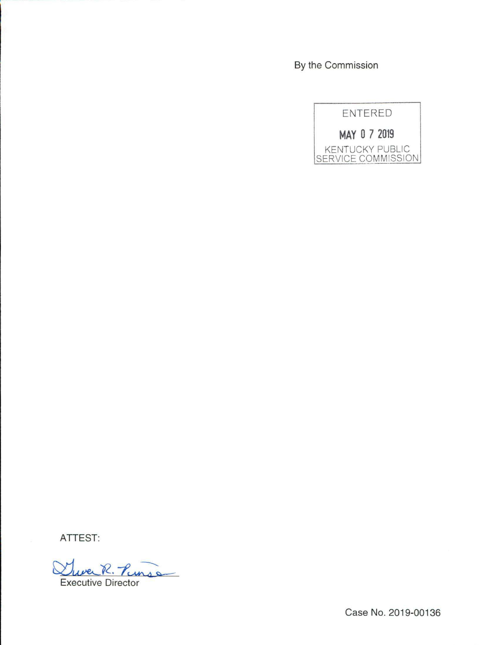By the Commission

ENTERED

**MAY 0 7 2019**  KENTUCKY PUBLIC SERVICE COMMISSION

ATTEST:

Juve R. Punsa Executive Director

Case No. 2019-00136